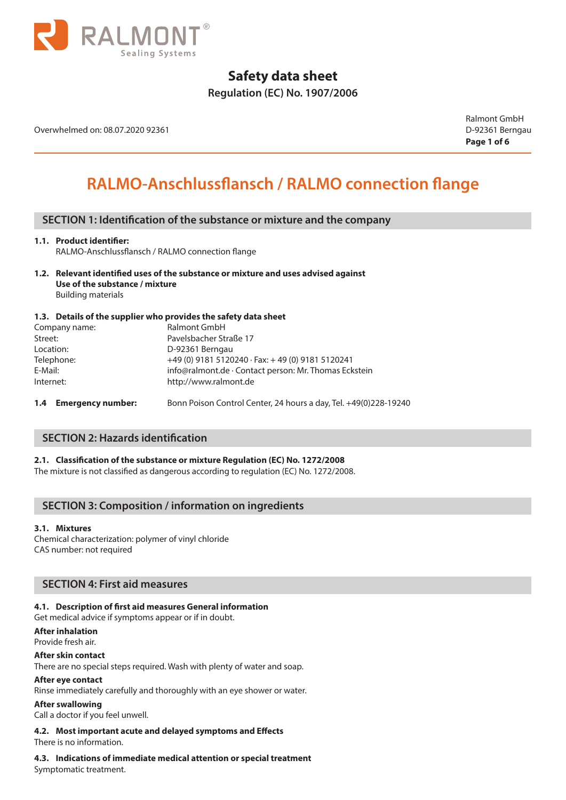

# **Regulation (EC) No. 1907/2006**

Overwhelmed on: 08.07.2020 92361 D-92361 Berngau

Ralmont GmbH **Page 1 of 6**

# **RALMO-Anschlussflansch / RALMO connection flange**

## **SECTION 1: Identification of the substance or mixture and the company**

### **1.1. Product identifier:**

RALMO-Anschlussflansch / RALMO connection flange

**1.2. Relevant identified uses of the substance or mixture and uses advised against Use of the substance / mixture** Building materials

### **1.3. Details of the supplier who provides the safety data sheet**

| http://www.ralmont.de                                    |
|----------------------------------------------------------|
| info@ralmont.de · Contact person: Mr. Thomas Eckstein    |
| $+49$ (0) 9181 5120240 $\cdot$ Fax: +49 (0) 9181 5120241 |
| D-92361 Berngau                                          |
| Pavelsbacher Straße 17                                   |
| <b>Ralmont GmbH</b>                                      |
|                                                          |

## **SECTION 2: Hazards identification**

### **2.1. Classification of the substance or mixture Regulation (EC) No. 1272/2008**

The mixture is not classified as dangerous according to regulation (EC) No. 1272/2008.

## **SECTION 3: Composition / information on ingredients**

### **3.1. Mixtures**

Chemical characterization: polymer of vinyl chloride CAS number: not required

### **SECTION 4: First aid measures**

### **4.1. Description of first aid measures General information**

Get medical advice if symptoms appear or if in doubt.

**After inhalation**

Provide fresh air.

**After skin contact**

There are no special steps required. Wash with plenty of water and soap.

### **After eye contact**

Rinse immediately carefully and thoroughly with an eye shower or water.

### **After swallowing**

Call a doctor if you feel unwell.

### **4.2. Most important acute and delayed symptoms and Effects**

There is no information.

**4.3. Indications of immediate medical attention or special treatment** Symptomatic treatment.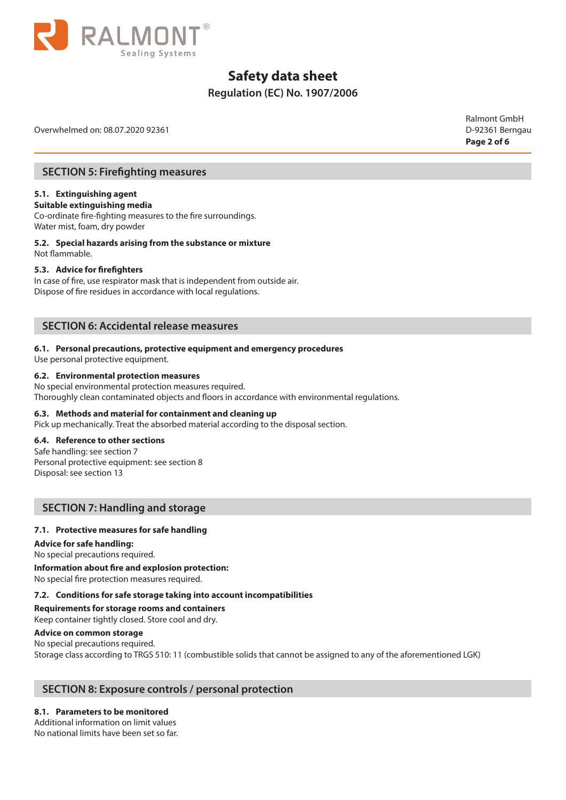

# **Regulation (EC) No. 1907/2006**

Overwhelmed on: 08.07.2020 92361 D-92361 Berngau

Ralmont GmbH **Page 2 of 6**

## **SECTION 5: Firefighting measures**

### **5.1. Extinguishing agent**

**Suitable extinguishing media** Co-ordinate fire-fighting measures to the fire surroundings.

Water mist, foam, dry powder

**5.2. Special hazards arising from the substance or mixture** Not flammable.

### **5.3. Advice for firefighters**

In case of fire, use respirator mask that is independent from outside air. Dispose of fire residues in accordance with local regulations.

## **SECTION 6: Accidental release measures**

### **6.1. Personal precautions, protective equipment and emergency procedures**

Use personal protective equipment.

### **6.2. Environmental protection measures**

No special environmental protection measures required. Thoroughly clean contaminated objects and floors in accordance with environmental regulations.

### **6.3. Methods and material for containment and cleaning up**

Pick up mechanically. Treat the absorbed material according to the disposal section.

### **6.4. Reference to other sections**

Safe handling: see section 7 Personal protective equipment: see section 8 Disposal: see section 13

## **SECTION 7: Handling and storage**

### **7.1. Protective measures for safe handling**

### **Advice for safe handling:**

No special precautions required.

**Information about fire and explosion protection:**

No special fire protection measures required.

### **7.2. Conditions for safe storage taking into account incompatibilities**

### **Requirements for storage rooms and containers**

Keep container tightly closed. Store cool and dry.

## **Advice on common storage**

No special precautions required. Storage class according to TRGS 510: 11 (combustible solids that cannot be assigned to any of the aforementioned LGK)

## **SECTION 8: Exposure controls / personal protection**

### **8.1. Parameters to be monitored**

Additional information on limit values No national limits have been set so far.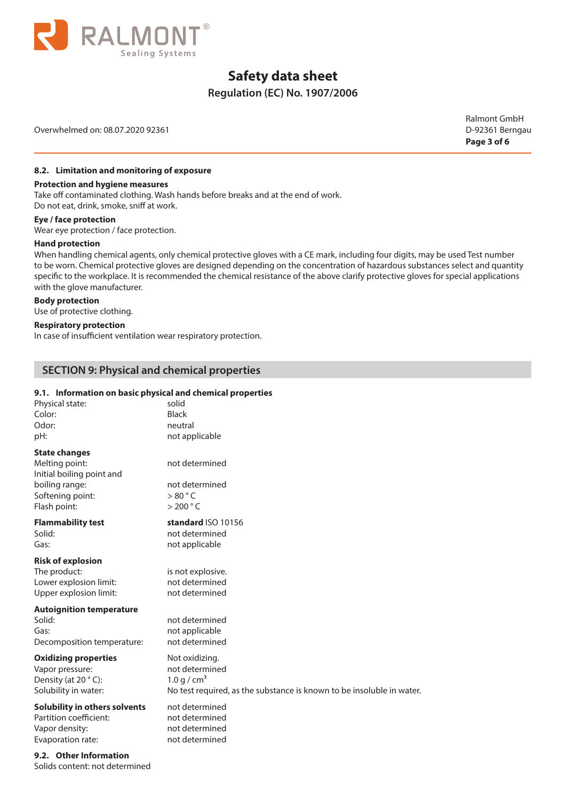

# **Regulation (EC) No. 1907/2006**

Overwhelmed on: 08.07.2020 92361 D-92361 Berngau

Ralmont GmbH **Page 3 of 6**

## **8.2. Limitation and monitoring of exposure**

### **Protection and hygiene measures**

Take off contaminated clothing. Wash hands before breaks and at the end of work. Do not eat, drink, smoke, sniff at work.

# **Eye / face protection**

Wear eye protection / face protection.

### **Hand protection**

When handling chemical agents, only chemical protective gloves with a CE mark, including four digits, may be used Test number to be worn. Chemical protective gloves are designed depending on the concentration of hazardous substances select and quantity specific to the workplace. It is recommended the chemical resistance of the above clarify protective gloves for special applications with the glove manufacturer.

### **Body protection**

Use of protective clothing.

### **Respiratory protection**

In case of insufficient ventilation wear respiratory protection.

# **SECTION 9: Physical and chemical properties**

### **9.1. Information on basic physical and chemical properties**

| Physical state:                                                                                                           | solid                                                                 |
|---------------------------------------------------------------------------------------------------------------------------|-----------------------------------------------------------------------|
| Color:                                                                                                                    | <b>Black</b>                                                          |
| Odor:                                                                                                                     | neutral                                                               |
| pH:                                                                                                                       | not applicable                                                        |
| <b>State changes</b><br>Melting point:<br>Initial boiling point and<br>boiling range:<br>Softening point:<br>Flash point: | not determined<br>not determined<br>>80 °C<br>$>$ 200 $^{\circ}$ C    |
| <b>Flammability test</b>                                                                                                  | standard ISO 10156                                                    |
| Solid:                                                                                                                    | not determined                                                        |
| Gas:                                                                                                                      | not applicable                                                        |
| <b>Risk of explosion</b><br>The product:<br>Lower explosion limit:<br>Upper explosion limit:                              | is not explosive.<br>not determined<br>not determined                 |
| <b>Autoignition temperature</b><br>Solid:<br>Gas:<br>Decomposition temperature:                                           | not determined<br>not applicable<br>not determined                    |
| <b>Oxidizing properties</b>                                                                                               | Not oxidizing.                                                        |
| Vapor pressure:                                                                                                           | not determined                                                        |
| Density (at 20 °C):                                                                                                       | 1.0 g / $cm3$                                                         |
| Solubility in water:                                                                                                      | No test required, as the substance is known to be insoluble in water. |
| <b>Solubility in others solvents</b>                                                                                      | not determined                                                        |
| Partition coefficient:                                                                                                    | not determined                                                        |
| Vapor density:                                                                                                            | not determined                                                        |
| Evaporation rate:                                                                                                         | not determined                                                        |
|                                                                                                                           |                                                                       |

**9.2. Other Information** Solids content: not determined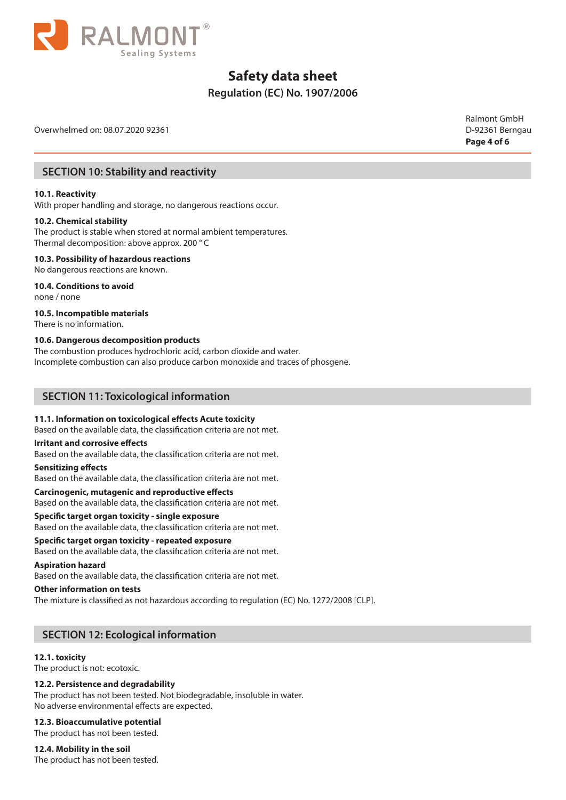

# **Regulation (EC) No. 1907/2006**

Overwhelmed on: 08.07.2020 92361 D-92361 Berngau

Ralmont GmbH **Page 4 of 6**

## **SECTION 10: Stability and reactivity**

### **10.1. Reactivity**

With proper handling and storage, no dangerous reactions occur.

### **10.2. Chemical stability**

The product is stable when stored at normal ambient temperatures. Thermal decomposition: above approx. 200 ° C

### **10.3. Possibility of hazardous reactions**

No dangerous reactions are known.

# **10.4. Conditions to avoid**

none / none

### **10.5. Incompatible materials**

There is no information.

### **10.6. Dangerous decomposition products**

The combustion produces hydrochloric acid, carbon dioxide and water. Incomplete combustion can also produce carbon monoxide and traces of phosgene.

## **SECTION 11: Toxicological information**

### **11.1. Information on toxicological effects Acute toxicity**

Based on the available data, the classification criteria are not met.

### **Irritant and corrosive effects**

Based on the available data, the classification criteria are not met.

### **Sensitizing effects**

Based on the available data, the classification criteria are not met.

### **Carcinogenic, mutagenic and reproductive effects**

Based on the available data, the classification criteria are not met.

### **Specific target organ toxicity - single exposure**

Based on the available data, the classification criteria are not met.

# **Specific target organ toxicity - repeated exposure**

Based on the available data, the classification criteria are not met.

### **Aspiration hazard**

Based on the available data, the classification criteria are not met.

### **Other information on tests**

The mixture is classified as not hazardous according to regulation (EC) No. 1272/2008 [CLP].

# **SECTION 12: Ecological information**

### **12.1. toxicity**

The product is not: ecotoxic.

### **12.2. Persistence and degradability**

The product has not been tested. Not biodegradable, insoluble in water. No adverse environmental effects are expected.

### **12.3. Bioaccumulative potential**

The product has not been tested.

### **12.4. Mobility in the soil**

The product has not been tested.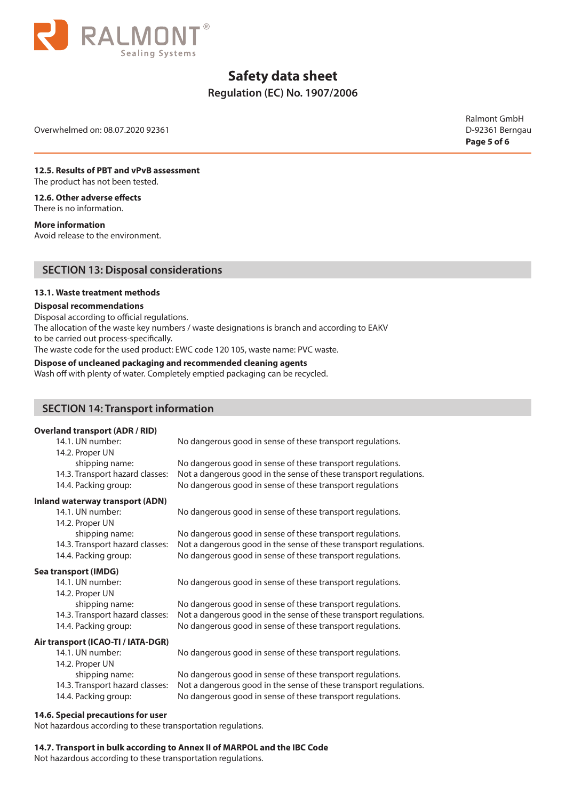

# **Regulation (EC) No. 1907/2006**

Overwhelmed on: 08.07.2020 92361 D-92361 Berngau

Ralmont GmbH **Page 5 of 6**

#### **12.5. Results of PBT and vPvB assessment** The product has not been tested.

**12.6. Other adverse effects** There is no information.

**More information**

Avoid release to the environment.

## **SECTION 13: Disposal considerations**

### **13.1. Waste treatment methods**

### **Disposal recommendations**

Disposal according to official regulations.

The allocation of the waste key numbers / waste designations is branch and according to EAKV to be carried out process-specifically.

The waste code for the used product: EWC code 120 105, waste name: PVC waste.

### **Dispose of uncleaned packaging and recommended cleaning agents**

Wash off with plenty of water. Completely emptied packaging can be recycled.

## **SECTION 14: Transport information**

### **Overland transport (ADR / RID)**

| $19119$ Gallsport (ADR) $100$   |                                                                   |
|---------------------------------|-------------------------------------------------------------------|
| 14.1. UN number:                | No dangerous good in sense of these transport regulations.        |
| 14.2. Proper UN                 |                                                                   |
| shipping name:                  | No dangerous good in sense of these transport regulations.        |
| 14.3. Transport hazard classes: | Not a dangerous good in the sense of these transport regulations. |
| 14.4. Packing group:            | No dangerous good in sense of these transport regulations         |

### **Inland waterway transport (ADN)**

14.1. UN number: No dangerous good in sense of these transport regulations. 14.2. Proper UN shipping name: No dangerous good in sense of these transport regulations. 14.3. Transport hazard classes: Not a dangerous good in the sense of these transport regulations. 14.4. Packing group: No dangerous good in sense of these transport regulations.

### **Sea transport (IMDG)**

| 14.1. UN number:                | No dangerous good in sense of these transport regulations.      |
|---------------------------------|-----------------------------------------------------------------|
| 14.2. Proper UN                 |                                                                 |
| shipping name:                  | No dangerous good in sense of these transport regulations.      |
| 14.3. Transport hazard classes: | Not a dangerous good in the sense of these transport regularity |
| 14.4. Packing group:            | No dangerous good in sense of these transport regulations.      |

od in sense of these transport regulations. good in the sense of these transport regulations. od in sense of these transport regulations.

### **Air transport (ICAO-TI / IATA-DGR)**

14.1. UN number: No dangerous good in sense of these transport regulations.

14.2. Proper UN

- 
- 

### shipping name: No dangerous good in sense of these transport regulations. 14.3. Transport hazard classes: Not a dangerous good in the sense of these transport regulations. 14.4. Packing group: No dangerous good in sense of these transport regulations.

### **14.6. Special precautions for user**

Not hazardous according to these transportation regulations.

# **14.7. Transport in bulk according to Annex II of MARPOL and the IBC Code**

Not hazardous according to these transportation regulations.